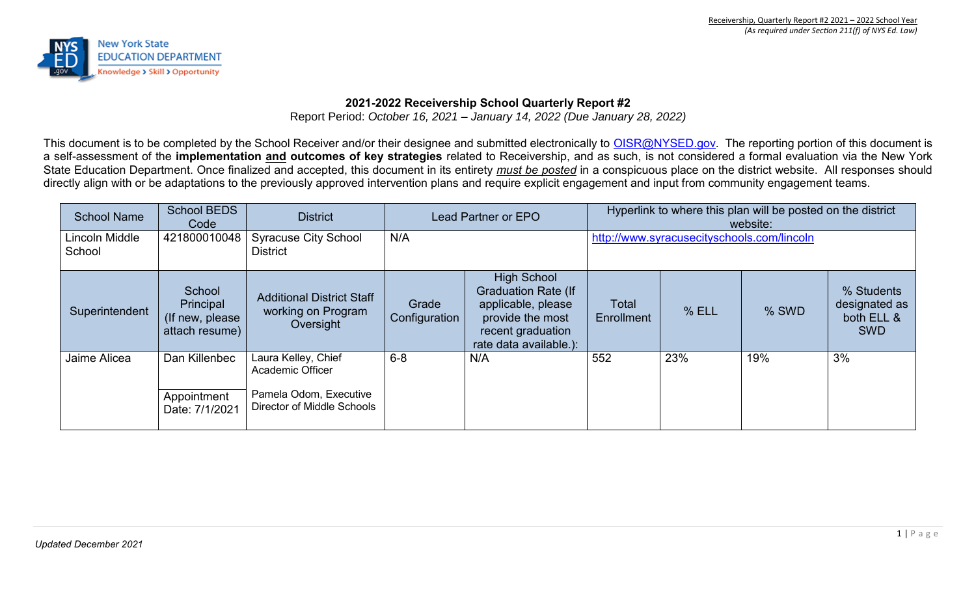

## **2021-2022 Receivership School Quarterly Report #2**

Report Period: *October 16, 2021 – January 14, 2022 (Due January 28, 2022)*

This document is to be completed by the School Receiver and/or their designee and submitted electronically to [OISR@NYSED.gov.](mailto:OISR@NYSED.gov) The reporting portion of this document is a self-assessment of the **implementation and outcomes of key strategies** related to Receivership, and as such, is not considered a formal evaluation via the New York State Education Department. Once finalized and accepted, this document in its entirety *must be posted* in a conspicuous place on the district website. All responses should directly align with or be adaptations to the previously approved intervention plans and require explicit engagement and input from community engagement teams.

| <b>School Name</b>       | <b>School BEDS</b><br>Code                                | <b>District</b>                                                                                        | Lead Partner or EPO    |                                                                                                                                           | Hyperlink to where this plan will be posted on the district<br>website: |       |       |                                                         |
|--------------------------|-----------------------------------------------------------|--------------------------------------------------------------------------------------------------------|------------------------|-------------------------------------------------------------------------------------------------------------------------------------------|-------------------------------------------------------------------------|-------|-------|---------------------------------------------------------|
| Lincoln Middle<br>School | 421800010048                                              | <b>Syracuse City School</b><br><b>District</b>                                                         | N/A                    |                                                                                                                                           | http://www.syracusecityschools.com/lincoln                              |       |       |                                                         |
| Superintendent           | School<br>Principal<br>(If new, please)<br>attach resume) | <b>Additional District Staff</b><br>working on Program<br>Oversight                                    | Grade<br>Configuration | <b>High School</b><br><b>Graduation Rate (If</b><br>applicable, please<br>provide the most<br>recent graduation<br>rate data available.): | Total<br>Enrollment                                                     | % ELL | % SWD | % Students<br>designated as<br>both ELL &<br><b>SWD</b> |
| Jaime Alicea             | Dan Killenbec<br>Appointment<br>Date: 7/1/2021            | Laura Kelley, Chief<br><b>Academic Officer</b><br>Pamela Odom, Executive<br>Director of Middle Schools | $6-8$                  | N/A                                                                                                                                       | 552                                                                     | 23%   | 19%   | 3%                                                      |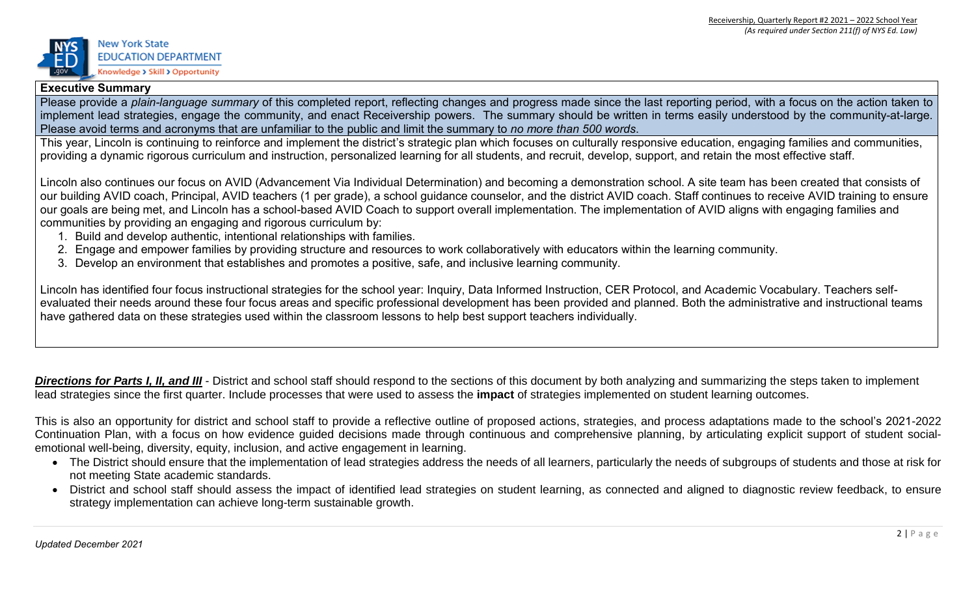

### **Executive Summary**

Please provide a *plain-language summary* of this completed report, reflecting changes and progress made since the last reporting period, with a focus on the action taken to implement lead strategies, engage the community, and enact Receivership powers. The summary should be written in terms easily understood by the community-at-large. Please avoid terms and acronyms that are unfamiliar to the public and limit the summary to *no more than 500 words*.

This year, Lincoln is continuing to reinforce and implement the district's strategic plan which focuses on culturally responsive education, engaging families and communities, providing a dynamic rigorous curriculum and instruction, personalized learning for all students, and recruit, develop, support, and retain the most effective staff.

Lincoln also continues our focus on AVID (Advancement Via Individual Determination) and becoming a demonstration school. A site team has been created that consists of our building AVID coach, Principal, AVID teachers (1 per grade), a school guidance counselor, and the district AVID coach. Staff continues to receive AVID training to ensure our goals are being met, and Lincoln has a school-based AVID Coach to support overall implementation. The implementation of AVID aligns with engaging families and communities by providing an engaging and rigorous curriculum by:

- 1. Build and develop authentic, intentional relationships with families.
- 2. Engage and empower families by providing structure and resources to work collaboratively with educators within the learning community.
- 3. Develop an environment that establishes and promotes a positive, safe, and inclusive learning community.

Lincoln has identified four focus instructional strategies for the school year: Inquiry, Data Informed Instruction, CER Protocol, and Academic Vocabulary. Teachers selfevaluated their needs around these four focus areas and specific professional development has been provided and planned. Both the administrative and instructional teams have gathered data on these strategies used within the classroom lessons to help best support teachers individually.

**Directions for Parts I, II, and III** - District and school staff should respond to the sections of this document by both analyzing and summarizing the steps taken to implement lead strategies since the first quarter. Include processes that were used to assess the **impact** of strategies implemented on student learning outcomes.

This is also an opportunity for district and school staff to provide a reflective outline of proposed actions, strategies, and process adaptations made to the school's 2021-2022 Continuation Plan, with a focus on how evidence guided decisions made through continuous and comprehensive planning, by articulating explicit support of student socialemotional well-being, diversity, equity, inclusion, and active engagement in learning.

- The District should ensure that the implementation of lead strategies address the needs of all learners, particularly the needs of subgroups of students and those at risk for not meeting State academic standards.
- District and school staff should assess the impact of identified lead strategies on student learning, as connected and aligned to diagnostic review feedback, to ensure strategy implementation can achieve long-term sustainable growth.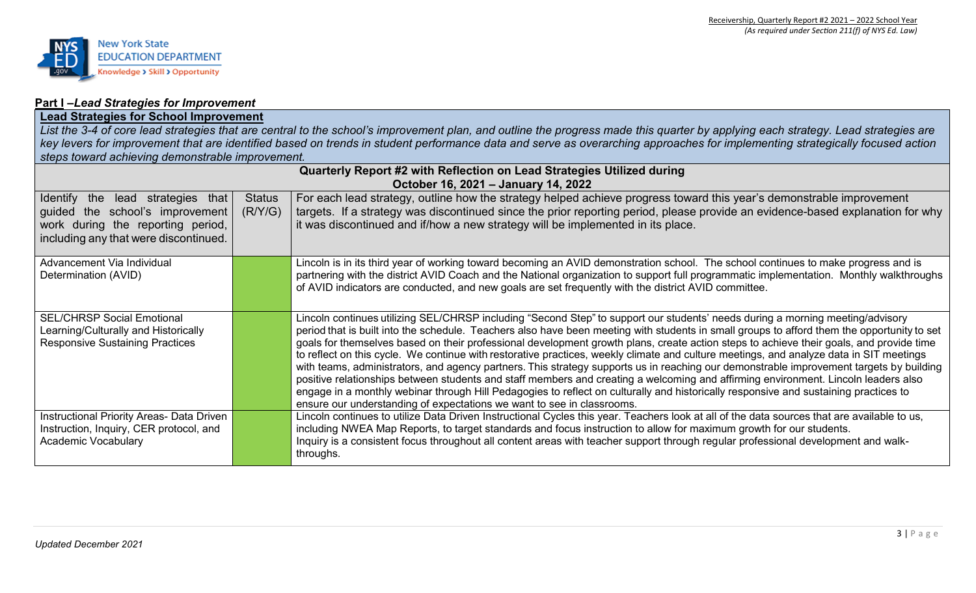

### **Part I –***Lead Strategies for Improvement*

## **Lead Strategies for School Improvement**

*List the 3-4 of core lead strategies that are central to the school's improvement plan, and outline the progress made this quarter by applying each strategy. Lead strategies are key levers for improvement that are identified based on trends in student performance data and serve as overarching approaches for implementing strategically focused action steps toward achieving demonstrable improvement.*

|                                                                                                                                                    |                          | Quarterly Report #2 with Reflection on Lead Strategies Utilized during<br>October 16, 2021 - January 14, 2022                                                                                                                                                                                                                                                                                                                                                                                                                                                                                                                                                                                                                                                                                                                                                                                                                                                                                                                                                          |
|----------------------------------------------------------------------------------------------------------------------------------------------------|--------------------------|------------------------------------------------------------------------------------------------------------------------------------------------------------------------------------------------------------------------------------------------------------------------------------------------------------------------------------------------------------------------------------------------------------------------------------------------------------------------------------------------------------------------------------------------------------------------------------------------------------------------------------------------------------------------------------------------------------------------------------------------------------------------------------------------------------------------------------------------------------------------------------------------------------------------------------------------------------------------------------------------------------------------------------------------------------------------|
| Identify the lead strategies that<br>guided the school's improvement<br>work during the reporting period,<br>including any that were discontinued. | <b>Status</b><br>(R/Y/G) | For each lead strategy, outline how the strategy helped achieve progress toward this year's demonstrable improvement<br>targets. If a strategy was discontinued since the prior reporting period, please provide an evidence-based explanation for why<br>it was discontinued and if/how a new strategy will be implemented in its place.                                                                                                                                                                                                                                                                                                                                                                                                                                                                                                                                                                                                                                                                                                                              |
| Advancement Via Individual<br>Determination (AVID)                                                                                                 |                          | Lincoln is in its third year of working toward becoming an AVID demonstration school. The school continues to make progress and is<br>partnering with the district AVID Coach and the National organization to support full programmatic implementation. Monthly walkthroughs<br>of AVID indicators are conducted, and new goals are set frequently with the district AVID committee.                                                                                                                                                                                                                                                                                                                                                                                                                                                                                                                                                                                                                                                                                  |
| <b>SEL/CHRSP Social Emotional</b><br>Learning/Culturally and Historically<br><b>Responsive Sustaining Practices</b>                                |                          | Lincoln continues utilizing SEL/CHRSP including "Second Step" to support our students' needs during a morning meeting/advisory<br>period that is built into the schedule. Teachers also have been meeting with students in small groups to afford them the opportunity to set<br>goals for themselves based on their professional development growth plans, create action steps to achieve their goals, and provide time<br>to reflect on this cycle. We continue with restorative practices, weekly climate and culture meetings, and analyze data in SIT meetings<br>with teams, administrators, and agency partners. This strategy supports us in reaching our demonstrable improvement targets by building<br>positive relationships between students and staff members and creating a welcoming and affirming environment. Lincoln leaders also<br>engage in a monthly webinar through Hill Pedagogies to reflect on culturally and historically responsive and sustaining practices to<br>ensure our understanding of expectations we want to see in classrooms. |
| Instructional Priority Areas- Data Driven<br>Instruction, Inquiry, CER protocol, and<br><b>Academic Vocabulary</b>                                 |                          | Lincoln continues to utilize Data Driven Instructional Cycles this year. Teachers look at all of the data sources that are available to us,<br>including NWEA Map Reports, to target standards and focus instruction to allow for maximum growth for our students.<br>Inquiry is a consistent focus throughout all content areas with teacher support through regular professional development and walk-<br>throughs.                                                                                                                                                                                                                                                                                                                                                                                                                                                                                                                                                                                                                                                  |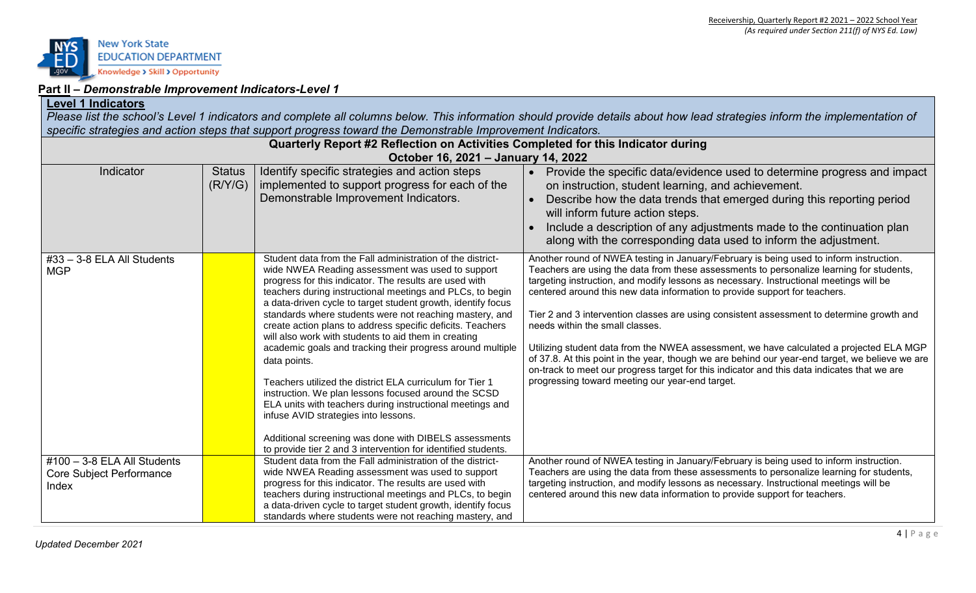

## **Part II –** *Demonstrable Improvement Indicators-Level 1*

### **Level 1 Indicators**

*Please list the school's Level 1 indicators and complete all columns below. This information should provide details about how lead strategies inform the implementation of specific strategies and action steps that support progress toward the Demonstrable Improvement Indicators.* 

| Quarterly Report #2 Reflection on Activities Completed for this Indicator during |                          |                                                                                                                                                                                                                                                                                                                                                                                                                                                                                                                                                                                                                                                                                                                                                                                                                                                                                                                         |                                                                                                                                                                                                                                                                                                                                                                                                                                                                                                                                                                                                                                                                                                                                                                                                                                            |
|----------------------------------------------------------------------------------|--------------------------|-------------------------------------------------------------------------------------------------------------------------------------------------------------------------------------------------------------------------------------------------------------------------------------------------------------------------------------------------------------------------------------------------------------------------------------------------------------------------------------------------------------------------------------------------------------------------------------------------------------------------------------------------------------------------------------------------------------------------------------------------------------------------------------------------------------------------------------------------------------------------------------------------------------------------|--------------------------------------------------------------------------------------------------------------------------------------------------------------------------------------------------------------------------------------------------------------------------------------------------------------------------------------------------------------------------------------------------------------------------------------------------------------------------------------------------------------------------------------------------------------------------------------------------------------------------------------------------------------------------------------------------------------------------------------------------------------------------------------------------------------------------------------------|
|                                                                                  |                          | October 16, 2021 - January 14, 2022                                                                                                                                                                                                                                                                                                                                                                                                                                                                                                                                                                                                                                                                                                                                                                                                                                                                                     |                                                                                                                                                                                                                                                                                                                                                                                                                                                                                                                                                                                                                                                                                                                                                                                                                                            |
| Indicator                                                                        | <b>Status</b><br>(R/Y/G) | Identify specific strategies and action steps<br>implemented to support progress for each of the<br>Demonstrable Improvement Indicators.                                                                                                                                                                                                                                                                                                                                                                                                                                                                                                                                                                                                                                                                                                                                                                                | Provide the specific data/evidence used to determine progress and impact<br>$\bullet$<br>on instruction, student learning, and achievement.<br>Describe how the data trends that emerged during this reporting period<br>will inform future action steps.<br>Include a description of any adjustments made to the continuation plan<br>along with the corresponding data used to inform the adjustment.                                                                                                                                                                                                                                                                                                                                                                                                                                    |
| #33 - 3-8 ELA All Students<br><b>MGP</b>                                         |                          | Student data from the Fall administration of the district-<br>wide NWEA Reading assessment was used to support<br>progress for this indicator. The results are used with<br>teachers during instructional meetings and PLCs, to begin<br>a data-driven cycle to target student growth, identify focus<br>standards where students were not reaching mastery, and<br>create action plans to address specific deficits. Teachers<br>will also work with students to aid them in creating<br>academic goals and tracking their progress around multiple<br>data points.<br>Teachers utilized the district ELA curriculum for Tier 1<br>instruction. We plan lessons focused around the SCSD<br>ELA units with teachers during instructional meetings and<br>infuse AVID strategies into lessons.<br>Additional screening was done with DIBELS assessments<br>to provide tier 2 and 3 intervention for identified students. | Another round of NWEA testing in January/February is being used to inform instruction.<br>Teachers are using the data from these assessments to personalize learning for students,<br>targeting instruction, and modify lessons as necessary. Instructional meetings will be<br>centered around this new data information to provide support for teachers.<br>Tier 2 and 3 intervention classes are using consistent assessment to determine growth and<br>needs within the small classes.<br>Utilizing student data from the NWEA assessment, we have calculated a projected ELA MGP<br>of 37.8. At this point in the year, though we are behind our year-end target, we believe we are<br>on-track to meet our progress target for this indicator and this data indicates that we are<br>progressing toward meeting our year-end target. |
| #100 - 3-8 ELA All Students<br><b>Core Subject Performance</b><br>Index          |                          | Student data from the Fall administration of the district-<br>wide NWEA Reading assessment was used to support<br>progress for this indicator. The results are used with<br>teachers during instructional meetings and PLCs, to begin<br>a data-driven cycle to target student growth, identify focus<br>standards where students were not reaching mastery, and                                                                                                                                                                                                                                                                                                                                                                                                                                                                                                                                                        | Another round of NWEA testing in January/February is being used to inform instruction.<br>Teachers are using the data from these assessments to personalize learning for students,<br>targeting instruction, and modify lessons as necessary. Instructional meetings will be<br>centered around this new data information to provide support for teachers.                                                                                                                                                                                                                                                                                                                                                                                                                                                                                 |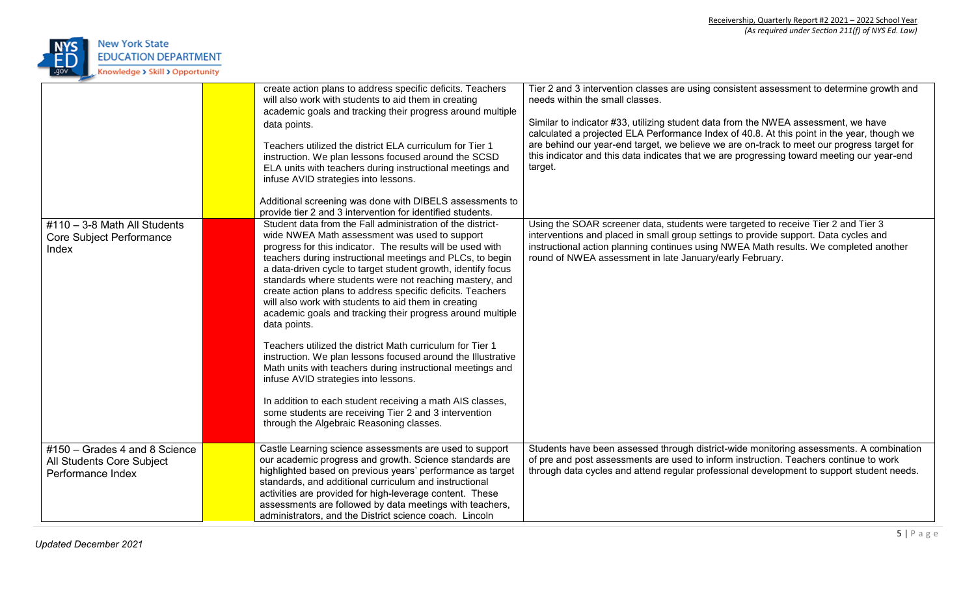

|                                                                                 | create action plans to address specific deficits. Teachers<br>will also work with students to aid them in creating<br>academic goals and tracking their progress around multiple<br>data points.<br>Teachers utilized the district ELA curriculum for Tier 1<br>instruction. We plan lessons focused around the SCSD<br>ELA units with teachers during instructional meetings and<br>infuse AVID strategies into lessons.<br>Additional screening was done with DIBELS assessments to<br>provide tier 2 and 3 intervention for identified students.                                                                                                                                                                                                                                                                                                                                                                                                                        | Tier 2 and 3 intervention classes are using consistent assessment to determine growth and<br>needs within the small classes.<br>Similar to indicator #33, utilizing student data from the NWEA assessment, we have<br>calculated a projected ELA Performance Index of 40.8. At this point in the year, though we<br>are behind our year-end target, we believe we are on-track to meet our progress target for<br>this indicator and this data indicates that we are progressing toward meeting our year-end<br>target. |
|---------------------------------------------------------------------------------|----------------------------------------------------------------------------------------------------------------------------------------------------------------------------------------------------------------------------------------------------------------------------------------------------------------------------------------------------------------------------------------------------------------------------------------------------------------------------------------------------------------------------------------------------------------------------------------------------------------------------------------------------------------------------------------------------------------------------------------------------------------------------------------------------------------------------------------------------------------------------------------------------------------------------------------------------------------------------|-------------------------------------------------------------------------------------------------------------------------------------------------------------------------------------------------------------------------------------------------------------------------------------------------------------------------------------------------------------------------------------------------------------------------------------------------------------------------------------------------------------------------|
| $\#110 - 3-8$ Math All Students<br><b>Core Subject Performance</b><br>Index     | Student data from the Fall administration of the district-<br>wide NWEA Math assessment was used to support<br>progress for this indicator. The results will be used with<br>teachers during instructional meetings and PLCs, to begin<br>a data-driven cycle to target student growth, identify focus<br>standards where students were not reaching mastery, and<br>create action plans to address specific deficits. Teachers<br>will also work with students to aid them in creating<br>academic goals and tracking their progress around multiple<br>data points.<br>Teachers utilized the district Math curriculum for Tier 1<br>instruction. We plan lessons focused around the Illustrative<br>Math units with teachers during instructional meetings and<br>infuse AVID strategies into lessons.<br>In addition to each student receiving a math AIS classes,<br>some students are receiving Tier 2 and 3 intervention<br>through the Algebraic Reasoning classes. | Using the SOAR screener data, students were targeted to receive Tier 2 and Tier 3<br>interventions and placed in small group settings to provide support. Data cycles and<br>instructional action planning continues using NWEA Math results. We completed another<br>round of NWEA assessment in late January/early February.                                                                                                                                                                                          |
| #150 - Grades 4 and 8 Science<br>All Students Core Subject<br>Performance Index | Castle Learning science assessments are used to support<br>our academic progress and growth. Science standards are<br>highlighted based on previous years' performance as target<br>standards, and additional curriculum and instructional<br>activities are provided for high-leverage content. These<br>assessments are followed by data meetings with teachers,<br>administrators, and the District science coach. Lincoln                                                                                                                                                                                                                                                                                                                                                                                                                                                                                                                                              | Students have been assessed through district-wide monitoring assessments. A combination<br>of pre and post assessments are used to inform instruction. Teachers continue to work<br>through data cycles and attend regular professional development to support student needs.                                                                                                                                                                                                                                           |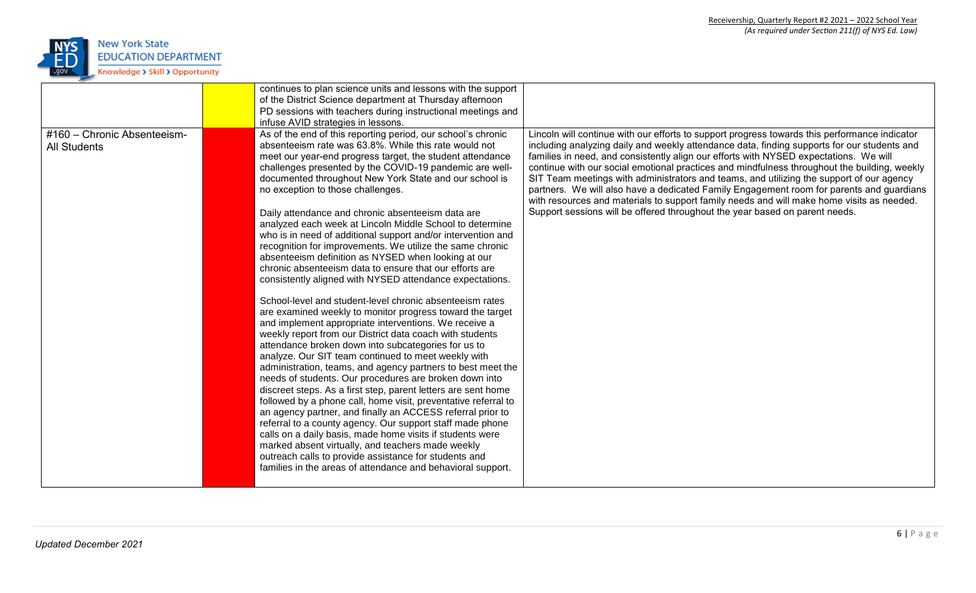

|                                                    | continues to plan science units and lessons with the support                                                                                                                                                                                                                                                                                                                                                                                                                                                                                                                                                                                                                                                                                                                                                                                                                                                                                                                                                                                                                                                                                                                                                                                                                                                                   |                                                                                                                                                                                                                                                                                                                                                                                                                                                                                                                                                                                                                                                                                                                                                           |
|----------------------------------------------------|--------------------------------------------------------------------------------------------------------------------------------------------------------------------------------------------------------------------------------------------------------------------------------------------------------------------------------------------------------------------------------------------------------------------------------------------------------------------------------------------------------------------------------------------------------------------------------------------------------------------------------------------------------------------------------------------------------------------------------------------------------------------------------------------------------------------------------------------------------------------------------------------------------------------------------------------------------------------------------------------------------------------------------------------------------------------------------------------------------------------------------------------------------------------------------------------------------------------------------------------------------------------------------------------------------------------------------|-----------------------------------------------------------------------------------------------------------------------------------------------------------------------------------------------------------------------------------------------------------------------------------------------------------------------------------------------------------------------------------------------------------------------------------------------------------------------------------------------------------------------------------------------------------------------------------------------------------------------------------------------------------------------------------------------------------------------------------------------------------|
|                                                    | of the District Science department at Thursday afternoon                                                                                                                                                                                                                                                                                                                                                                                                                                                                                                                                                                                                                                                                                                                                                                                                                                                                                                                                                                                                                                                                                                                                                                                                                                                                       |                                                                                                                                                                                                                                                                                                                                                                                                                                                                                                                                                                                                                                                                                                                                                           |
|                                                    | PD sessions with teachers during instructional meetings and                                                                                                                                                                                                                                                                                                                                                                                                                                                                                                                                                                                                                                                                                                                                                                                                                                                                                                                                                                                                                                                                                                                                                                                                                                                                    |                                                                                                                                                                                                                                                                                                                                                                                                                                                                                                                                                                                                                                                                                                                                                           |
|                                                    | infuse AVID strategies in lessons.                                                                                                                                                                                                                                                                                                                                                                                                                                                                                                                                                                                                                                                                                                                                                                                                                                                                                                                                                                                                                                                                                                                                                                                                                                                                                             |                                                                                                                                                                                                                                                                                                                                                                                                                                                                                                                                                                                                                                                                                                                                                           |
| #160 - Chronic Absenteeism-<br><b>All Students</b> | As of the end of this reporting period, our school's chronic<br>absenteeism rate was 63.8%. While this rate would not<br>meet our year-end progress target, the student attendance<br>challenges presented by the COVID-19 pandemic are well-<br>documented throughout New York State and our school is<br>no exception to those challenges.<br>Daily attendance and chronic absenteeism data are<br>analyzed each week at Lincoln Middle School to determine<br>who is in need of additional support and/or intervention and<br>recognition for improvements. We utilize the same chronic<br>absenteeism definition as NYSED when looking at our<br>chronic absenteeism data to ensure that our efforts are<br>consistently aligned with NYSED attendance expectations.<br>School-level and student-level chronic absenteeism rates<br>are examined weekly to monitor progress toward the target<br>and implement appropriate interventions. We receive a<br>weekly report from our District data coach with students<br>attendance broken down into subcategories for us to<br>analyze. Our SIT team continued to meet weekly with<br>administration, teams, and agency partners to best meet the<br>needs of students. Our procedures are broken down into<br>discreet steps. As a first step, parent letters are sent home | Lincoln will continue with our efforts to support progress towards this performance indicator<br>including analyzing daily and weekly attendance data, finding supports for our students and<br>families in need, and consistently align our efforts with NYSED expectations. We will<br>continue with our social emotional practices and mindfulness throughout the building, weekly<br>SIT Team meetings with administrators and teams, and utilizing the support of our agency<br>partners. We will also have a dedicated Family Engagement room for parents and guardians<br>with resources and materials to support family needs and will make home visits as needed.<br>Support sessions will be offered throughout the year based on parent needs. |
|                                                    | followed by a phone call, home visit, preventative referral to<br>an agency partner, and finally an ACCESS referral prior to                                                                                                                                                                                                                                                                                                                                                                                                                                                                                                                                                                                                                                                                                                                                                                                                                                                                                                                                                                                                                                                                                                                                                                                                   |                                                                                                                                                                                                                                                                                                                                                                                                                                                                                                                                                                                                                                                                                                                                                           |
|                                                    | referral to a county agency. Our support staff made phone<br>calls on a daily basis, made home visits if students were                                                                                                                                                                                                                                                                                                                                                                                                                                                                                                                                                                                                                                                                                                                                                                                                                                                                                                                                                                                                                                                                                                                                                                                                         |                                                                                                                                                                                                                                                                                                                                                                                                                                                                                                                                                                                                                                                                                                                                                           |
|                                                    | marked absent virtually, and teachers made weekly                                                                                                                                                                                                                                                                                                                                                                                                                                                                                                                                                                                                                                                                                                                                                                                                                                                                                                                                                                                                                                                                                                                                                                                                                                                                              |                                                                                                                                                                                                                                                                                                                                                                                                                                                                                                                                                                                                                                                                                                                                                           |
|                                                    | outreach calls to provide assistance for students and                                                                                                                                                                                                                                                                                                                                                                                                                                                                                                                                                                                                                                                                                                                                                                                                                                                                                                                                                                                                                                                                                                                                                                                                                                                                          |                                                                                                                                                                                                                                                                                                                                                                                                                                                                                                                                                                                                                                                                                                                                                           |
|                                                    | families in the areas of attendance and behavioral support.                                                                                                                                                                                                                                                                                                                                                                                                                                                                                                                                                                                                                                                                                                                                                                                                                                                                                                                                                                                                                                                                                                                                                                                                                                                                    |                                                                                                                                                                                                                                                                                                                                                                                                                                                                                                                                                                                                                                                                                                                                                           |
|                                                    |                                                                                                                                                                                                                                                                                                                                                                                                                                                                                                                                                                                                                                                                                                                                                                                                                                                                                                                                                                                                                                                                                                                                                                                                                                                                                                                                |                                                                                                                                                                                                                                                                                                                                                                                                                                                                                                                                                                                                                                                                                                                                                           |
|                                                    |                                                                                                                                                                                                                                                                                                                                                                                                                                                                                                                                                                                                                                                                                                                                                                                                                                                                                                                                                                                                                                                                                                                                                                                                                                                                                                                                |                                                                                                                                                                                                                                                                                                                                                                                                                                                                                                                                                                                                                                                                                                                                                           |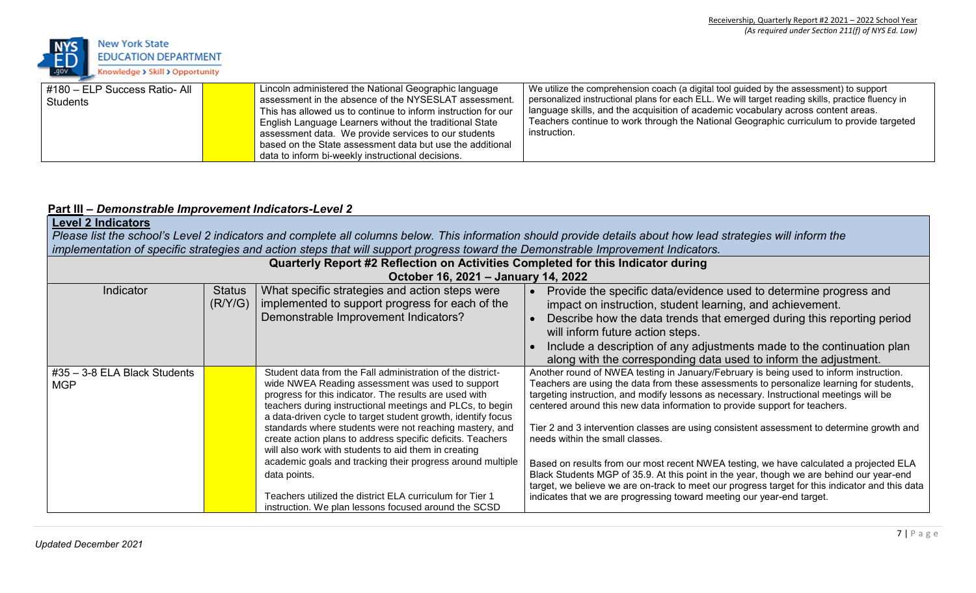

| #180 - ELP Success Ratio- All<br>Students | Lincoln administered the National Geographic language<br>assessment in the absence of the NYSESLAT assessment.<br>This has allowed us to continue to inform instruction for our<br>English Language Learners without the traditional State<br>assessment data. We provide services to our students<br>based on the State assessment data but use the additional | We utilize the comprehension coach (a digital tool guided by the assessment) to support<br>personalized instructional plans for each ELL. We will target reading skills, practice fluency in<br>language skills, and the acquisition of academic vocabulary across content areas.<br>Teachers continue to work through the National Geographic curriculum to provide targeted<br>instruction. |
|-------------------------------------------|-----------------------------------------------------------------------------------------------------------------------------------------------------------------------------------------------------------------------------------------------------------------------------------------------------------------------------------------------------------------|-----------------------------------------------------------------------------------------------------------------------------------------------------------------------------------------------------------------------------------------------------------------------------------------------------------------------------------------------------------------------------------------------|
|                                           | data to inform bi-weekly instructional decisions.                                                                                                                                                                                                                                                                                                               |                                                                                                                                                                                                                                                                                                                                                                                               |

## **Part III –** *Demonstrable Improvement Indicators-Level 2*

| <b>Level 2 Indicators</b><br>Please list the school's Level 2 indicators and complete all columns below. This information should provide details about how lead strategies will inform the<br>implementation of specific strategies and action steps that will support progress toward the Demonstrable Improvement Indicators. |                          |                                                                                                                                                                                                                                                                                                                                                                                                                                                                                                                                                      |                                                                                                                                                                                                                                                                                                                                                                                                                                                                                                                                                                                      |
|---------------------------------------------------------------------------------------------------------------------------------------------------------------------------------------------------------------------------------------------------------------------------------------------------------------------------------|--------------------------|------------------------------------------------------------------------------------------------------------------------------------------------------------------------------------------------------------------------------------------------------------------------------------------------------------------------------------------------------------------------------------------------------------------------------------------------------------------------------------------------------------------------------------------------------|--------------------------------------------------------------------------------------------------------------------------------------------------------------------------------------------------------------------------------------------------------------------------------------------------------------------------------------------------------------------------------------------------------------------------------------------------------------------------------------------------------------------------------------------------------------------------------------|
|                                                                                                                                                                                                                                                                                                                                 |                          | Quarterly Report #2 Reflection on Activities Completed for this Indicator during<br>October 16, 2021 - January 14, 2022                                                                                                                                                                                                                                                                                                                                                                                                                              |                                                                                                                                                                                                                                                                                                                                                                                                                                                                                                                                                                                      |
| Indicator                                                                                                                                                                                                                                                                                                                       | <b>Status</b><br>(R/Y/G) | What specific strategies and action steps were<br>implemented to support progress for each of the<br>Demonstrable Improvement Indicators?                                                                                                                                                                                                                                                                                                                                                                                                            | Provide the specific data/evidence used to determine progress and<br>impact on instruction, student learning, and achievement.<br>Describe how the data trends that emerged during this reporting period<br>will inform future action steps.<br>Include a description of any adjustments made to the continuation plan<br>along with the corresponding data used to inform the adjustment.                                                                                                                                                                                           |
| $\#35 - 3 - 8$ ELA Black Students<br><b>MGP</b>                                                                                                                                                                                                                                                                                 |                          | Student data from the Fall administration of the district-<br>wide NWEA Reading assessment was used to support<br>progress for this indicator. The results are used with<br>teachers during instructional meetings and PLCs, to begin<br>a data-driven cycle to target student growth, identify focus<br>standards where students were not reaching mastery, and<br>create action plans to address specific deficits. Teachers<br>will also work with students to aid them in creating<br>academic goals and tracking their progress around multiple | Another round of NWEA testing in January/February is being used to inform instruction.<br>Teachers are using the data from these assessments to personalize learning for students,<br>targeting instruction, and modify lessons as necessary. Instructional meetings will be<br>centered around this new data information to provide support for teachers.<br>Tier 2 and 3 intervention classes are using consistent assessment to determine growth and<br>needs within the small classes.<br>Based on results from our most recent NWEA testing, we have calculated a projected ELA |
|                                                                                                                                                                                                                                                                                                                                 |                          | data points.<br>Teachers utilized the district ELA curriculum for Tier 1<br>instruction. We plan lessons focused around the SCSD                                                                                                                                                                                                                                                                                                                                                                                                                     | Black Students MGP of 35.9. At this point in the year, though we are behind our year-end<br>target, we believe we are on-track to meet our progress target for this indicator and this data<br>indicates that we are progressing toward meeting our year-end target.                                                                                                                                                                                                                                                                                                                 |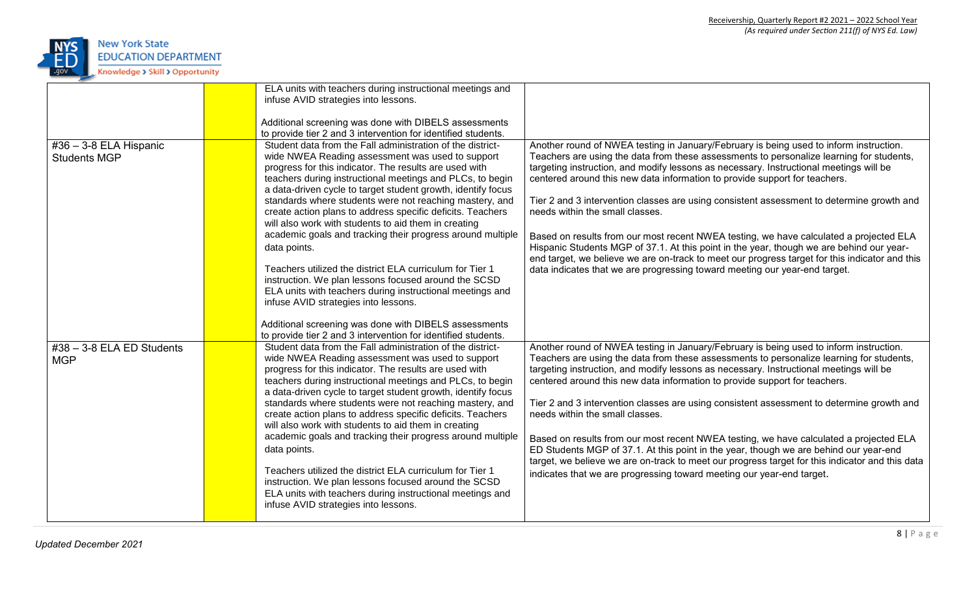

|                                                 | ELA units with teachers during instructional meetings and<br>infuse AVID strategies into lessons.<br>Additional screening was done with DIBELS assessments<br>to provide tier 2 and 3 intervention for identified students.                                                                                                                                                                                                                                                                                                                                                                                                                                                                                                                                                                                                                                                                                             |                                                                                                                                                                                                                                                                                                                                                                                                                                                                                                                                                                                                                                                                                                                                                                                                                                                                  |
|-------------------------------------------------|-------------------------------------------------------------------------------------------------------------------------------------------------------------------------------------------------------------------------------------------------------------------------------------------------------------------------------------------------------------------------------------------------------------------------------------------------------------------------------------------------------------------------------------------------------------------------------------------------------------------------------------------------------------------------------------------------------------------------------------------------------------------------------------------------------------------------------------------------------------------------------------------------------------------------|------------------------------------------------------------------------------------------------------------------------------------------------------------------------------------------------------------------------------------------------------------------------------------------------------------------------------------------------------------------------------------------------------------------------------------------------------------------------------------------------------------------------------------------------------------------------------------------------------------------------------------------------------------------------------------------------------------------------------------------------------------------------------------------------------------------------------------------------------------------|
| $#36 - 3-8$ ELA Hispanic<br><b>Students MGP</b> | Student data from the Fall administration of the district-<br>wide NWEA Reading assessment was used to support<br>progress for this indicator. The results are used with<br>teachers during instructional meetings and PLCs, to begin<br>a data-driven cycle to target student growth, identify focus<br>standards where students were not reaching mastery, and<br>create action plans to address specific deficits. Teachers<br>will also work with students to aid them in creating<br>academic goals and tracking their progress around multiple<br>data points.<br>Teachers utilized the district ELA curriculum for Tier 1<br>instruction. We plan lessons focused around the SCSD<br>ELA units with teachers during instructional meetings and<br>infuse AVID strategies into lessons.<br>Additional screening was done with DIBELS assessments<br>to provide tier 2 and 3 intervention for identified students. | Another round of NWEA testing in January/February is being used to inform instruction.<br>Teachers are using the data from these assessments to personalize learning for students,<br>targeting instruction, and modify lessons as necessary. Instructional meetings will be<br>centered around this new data information to provide support for teachers.<br>Tier 2 and 3 intervention classes are using consistent assessment to determine growth and<br>needs within the small classes.<br>Based on results from our most recent NWEA testing, we have calculated a projected ELA<br>Hispanic Students MGP of 37.1. At this point in the year, though we are behind our year-<br>end target, we believe we are on-track to meet our progress target for this indicator and this<br>data indicates that we are progressing toward meeting our year-end target. |
| $\#38 - 3 - 8$ ELA ED Students<br><b>MGP</b>    | Student data from the Fall administration of the district-<br>wide NWEA Reading assessment was used to support<br>progress for this indicator. The results are used with<br>teachers during instructional meetings and PLCs, to begin<br>a data-driven cycle to target student growth, identify focus<br>standards where students were not reaching mastery, and<br>create action plans to address specific deficits. Teachers<br>will also work with students to aid them in creating<br>academic goals and tracking their progress around multiple<br>data points.<br>Teachers utilized the district ELA curriculum for Tier 1<br>instruction. We plan lessons focused around the SCSD<br>ELA units with teachers during instructional meetings and<br>infuse AVID strategies into lessons.                                                                                                                           | Another round of NWEA testing in January/February is being used to inform instruction.<br>Teachers are using the data from these assessments to personalize learning for students,<br>targeting instruction, and modify lessons as necessary. Instructional meetings will be<br>centered around this new data information to provide support for teachers.<br>Tier 2 and 3 intervention classes are using consistent assessment to determine growth and<br>needs within the small classes.<br>Based on results from our most recent NWEA testing, we have calculated a projected ELA<br>ED Students MGP of 37.1. At this point in the year, though we are behind our year-end<br>target, we believe we are on-track to meet our progress target for this indicator and this data<br>indicates that we are progressing toward meeting our year-end target.        |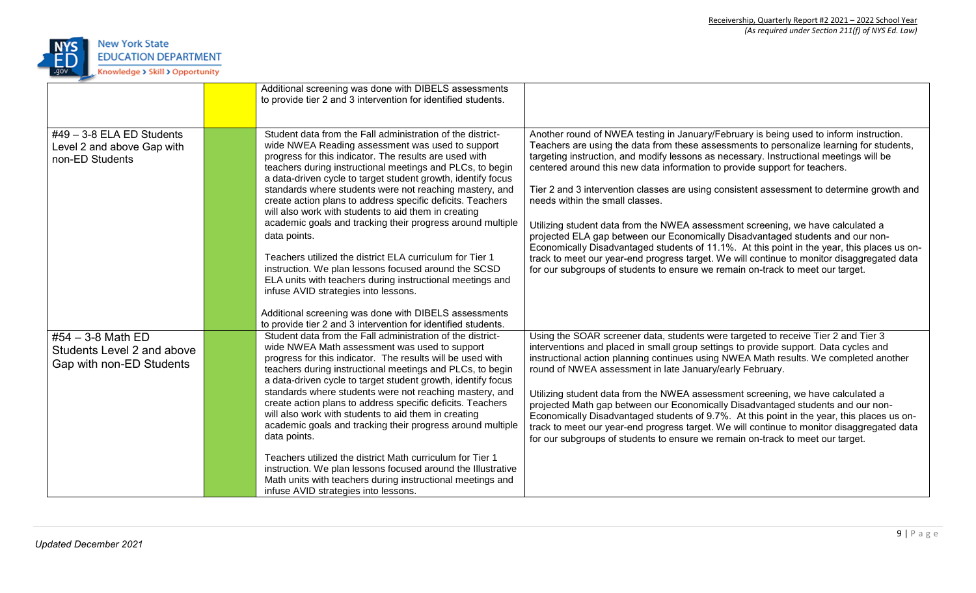

|                                                                               | Additional screening was done with DIBELS assessments<br>to provide tier 2 and 3 intervention for identified students.                                                                                                                                                                                                                                                                                                                                                                                                                                                                                                                                                                                                                                                                        |                                                                                                                                                                                                                                                                                                                                                                                                                                                                                                                                                                                                                                                                                                                                                                                                                                                                                                                                                |
|-------------------------------------------------------------------------------|-----------------------------------------------------------------------------------------------------------------------------------------------------------------------------------------------------------------------------------------------------------------------------------------------------------------------------------------------------------------------------------------------------------------------------------------------------------------------------------------------------------------------------------------------------------------------------------------------------------------------------------------------------------------------------------------------------------------------------------------------------------------------------------------------|------------------------------------------------------------------------------------------------------------------------------------------------------------------------------------------------------------------------------------------------------------------------------------------------------------------------------------------------------------------------------------------------------------------------------------------------------------------------------------------------------------------------------------------------------------------------------------------------------------------------------------------------------------------------------------------------------------------------------------------------------------------------------------------------------------------------------------------------------------------------------------------------------------------------------------------------|
| $#49 - 3-8$ ELA ED Students<br>Level 2 and above Gap with<br>non-ED Students  | Student data from the Fall administration of the district-<br>wide NWEA Reading assessment was used to support<br>progress for this indicator. The results are used with<br>teachers during instructional meetings and PLCs, to begin<br>a data-driven cycle to target student growth, identify focus<br>standards where students were not reaching mastery, and<br>create action plans to address specific deficits. Teachers<br>will also work with students to aid them in creating<br>academic goals and tracking their progress around multiple<br>data points.<br>Teachers utilized the district ELA curriculum for Tier 1<br>instruction. We plan lessons focused around the SCSD<br>ELA units with teachers during instructional meetings and<br>infuse AVID strategies into lessons. | Another round of NWEA testing in January/February is being used to inform instruction.<br>Teachers are using the data from these assessments to personalize learning for students,<br>targeting instruction, and modify lessons as necessary. Instructional meetings will be<br>centered around this new data information to provide support for teachers.<br>Tier 2 and 3 intervention classes are using consistent assessment to determine growth and<br>needs within the small classes.<br>Utilizing student data from the NWEA assessment screening, we have calculated a<br>projected ELA gap between our Economically Disadvantaged students and our non-<br>Economically Disadvantaged students of 11.1%. At this point in the year, this places us on-<br>track to meet our year-end progress target. We will continue to monitor disaggregated data<br>for our subgroups of students to ensure we remain on-track to meet our target. |
|                                                                               | Additional screening was done with DIBELS assessments<br>to provide tier 2 and 3 intervention for identified students.                                                                                                                                                                                                                                                                                                                                                                                                                                                                                                                                                                                                                                                                        |                                                                                                                                                                                                                                                                                                                                                                                                                                                                                                                                                                                                                                                                                                                                                                                                                                                                                                                                                |
| #54 $-$ 3-8 Math ED<br>Students Level 2 and above<br>Gap with non-ED Students | Student data from the Fall administration of the district-<br>wide NWEA Math assessment was used to support<br>progress for this indicator. The results will be used with<br>teachers during instructional meetings and PLCs, to begin<br>a data-driven cycle to target student growth, identify focus<br>standards where students were not reaching mastery, and<br>create action plans to address specific deficits. Teachers<br>will also work with students to aid them in creating<br>academic goals and tracking their progress around multiple                                                                                                                                                                                                                                         | Using the SOAR screener data, students were targeted to receive Tier 2 and Tier 3<br>interventions and placed in small group settings to provide support. Data cycles and<br>instructional action planning continues using NWEA Math results. We completed another<br>round of NWEA assessment in late January/early February.<br>Utilizing student data from the NWEA assessment screening, we have calculated a<br>projected Math gap between our Economically Disadvantaged students and our non-<br>Economically Disadvantaged students of 9.7%. At this point in the year, this places us on-                                                                                                                                                                                                                                                                                                                                             |
|                                                                               | data points.<br>Teachers utilized the district Math curriculum for Tier 1<br>instruction. We plan lessons focused around the Illustrative<br>Math units with teachers during instructional meetings and<br>infuse AVID strategies into lessons.                                                                                                                                                                                                                                                                                                                                                                                                                                                                                                                                               | track to meet our year-end progress target. We will continue to monitor disaggregated data<br>for our subgroups of students to ensure we remain on-track to meet our target.                                                                                                                                                                                                                                                                                                                                                                                                                                                                                                                                                                                                                                                                                                                                                                   |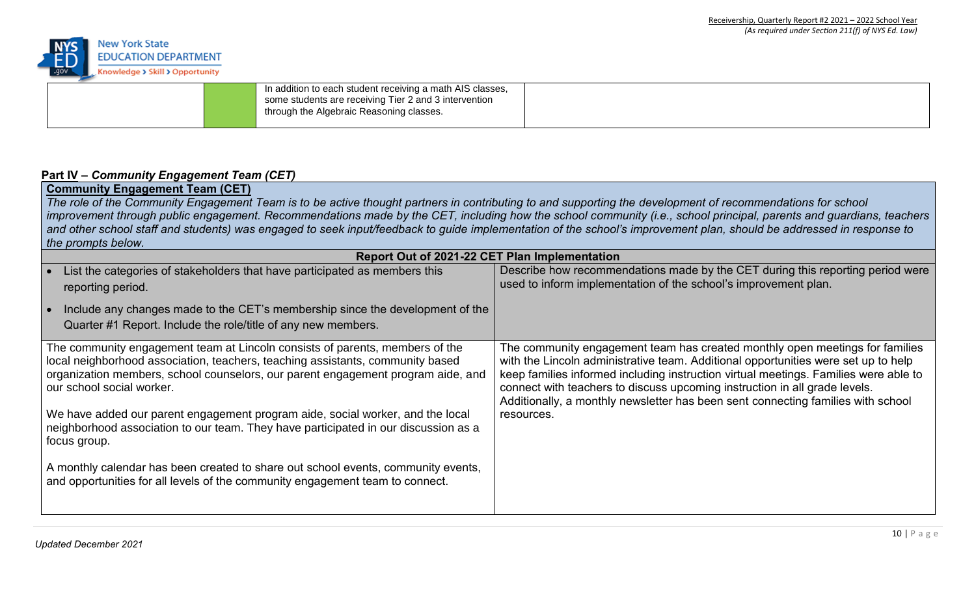

|  | In addition to each student receiving a math AIS classes,<br>some students are receiving Tier 2 and 3 intervention<br>through the Algebraic Reasoning classes. |  |
|--|----------------------------------------------------------------------------------------------------------------------------------------------------------------|--|
|  |                                                                                                                                                                |  |

## **Part IV –** *Community Engagement Team (CET)*

# **Community Engagement Team (CET)**

The role of the Community Engagement Team is to be active thought partners in contributing to and supporting the development of recommendations for school improvement through public engagement. Recommendations made by the CET, including how the school community (i.e., school principal, parents and guardians, teachers and other school staff and students) was engaged to seek input/feedback to guide implementation of the school's improvement plan, should be addressed in response to *the prompts below.*

| Report Out of 2021-22 CET Plan Implementation                                                                                                                                                                                                                                                                                                                                                                                                                                                                                                                                                                                                  |                                                                                                                                                                                                                                                                                                                                                                                                                                            |
|------------------------------------------------------------------------------------------------------------------------------------------------------------------------------------------------------------------------------------------------------------------------------------------------------------------------------------------------------------------------------------------------------------------------------------------------------------------------------------------------------------------------------------------------------------------------------------------------------------------------------------------------|--------------------------------------------------------------------------------------------------------------------------------------------------------------------------------------------------------------------------------------------------------------------------------------------------------------------------------------------------------------------------------------------------------------------------------------------|
| List the categories of stakeholders that have participated as members this<br>reporting period.                                                                                                                                                                                                                                                                                                                                                                                                                                                                                                                                                | Describe how recommendations made by the CET during this reporting period were<br>used to inform implementation of the school's improvement plan.                                                                                                                                                                                                                                                                                          |
| Include any changes made to the CET's membership since the development of the<br>Quarter #1 Report. Include the role/title of any new members.                                                                                                                                                                                                                                                                                                                                                                                                                                                                                                 |                                                                                                                                                                                                                                                                                                                                                                                                                                            |
| The community engagement team at Lincoln consists of parents, members of the<br>local neighborhood association, teachers, teaching assistants, community based<br>organization members, school counselors, our parent engagement program aide, and<br>our school social worker.<br>We have added our parent engagement program aide, social worker, and the local<br>neighborhood association to our team. They have participated in our discussion as a<br>focus group.<br>A monthly calendar has been created to share out school events, community events,<br>and opportunities for all levels of the community engagement team to connect. | The community engagement team has created monthly open meetings for families<br>with the Lincoln administrative team. Additional opportunities were set up to help<br>keep families informed including instruction virtual meetings. Families were able to<br>connect with teachers to discuss upcoming instruction in all grade levels.<br>Additionally, a monthly newsletter has been sent connecting families with school<br>resources. |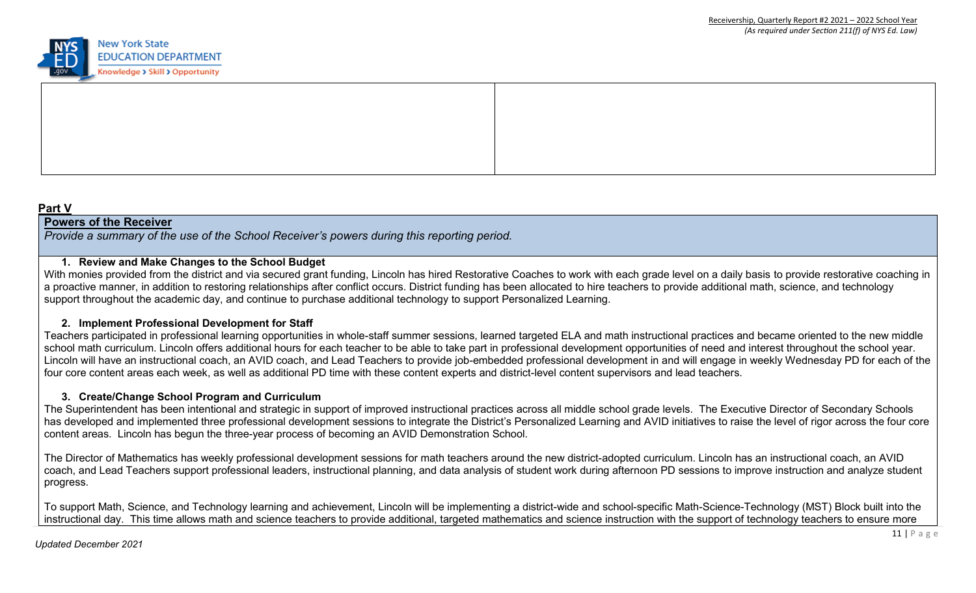

### **Part V**

### **Powers of the Receiver**

*Provide a summary of the use of the School Receiver's powers during this reporting period.*

### **1. Review and Make Changes to the School Budget**

With monies provided from the district and via secured grant funding, Lincoln has hired Restorative Coaches to work with each grade level on a daily basis to provide restorative coaching in a proactive manner, in addition to restoring relationships after conflict occurs. District funding has been allocated to hire teachers to provide additional math, science, and technology support throughout the academic day, and continue to purchase additional technology to support Personalized Learning.

### **2. Implement Professional Development for Staff**

Teachers participated in professional learning opportunities in whole-staff summer sessions, learned targeted ELA and math instructional practices and became oriented to the new middle school math curriculum. Lincoln offers additional hours for each teacher to be able to take part in professional development opportunities of need and interest throughout the school year. Lincoln will have an instructional coach, an AVID coach, and Lead Teachers to provide job-embedded professional development in and will engage in weekly Wednesday PD for each of the four core content areas each week, as well as additional PD time with these content experts and district-level content supervisors and lead teachers.

### **3. Create/Change School Program and Curriculum**

The Superintendent has been intentional and strategic in support of improved instructional practices across all middle school grade levels. The Executive Director of Secondary Schools has developed and implemented three professional development sessions to integrate the District's Personalized Learning and AVID initiatives to raise the level of rigor across the four core content areas. Lincoln has begun the three-year process of becoming an AVID Demonstration School.

The Director of Mathematics has weekly professional development sessions for math teachers around the new district-adopted curriculum. Lincoln has an instructional coach, an AVID coach, and Lead Teachers support professional leaders, instructional planning, and data analysis of student work during afternoon PD sessions to improve instruction and analyze student progress.

To support Math, Science, and Technology learning and achievement, Lincoln will be implementing a district-wide and school-specific Math-Science-Technology (MST) Block built into the instructional day. This time allows math and science teachers to provide additional, targeted mathematics and science instruction with the support of technology teachers to ensure more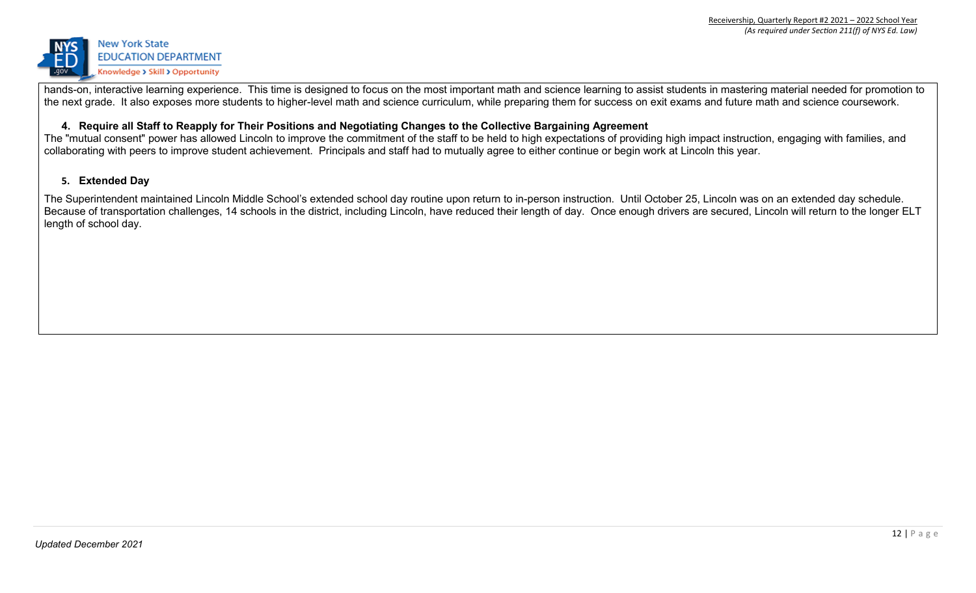

hands-on, interactive learning experience. This time is designed to focus on the most important math and science learning to assist students in mastering material needed for promotion to the next grade. It also exposes more students to higher-level math and science curriculum, while preparing them for success on exit exams and future math and science coursework.

### **4. Require all Staff to Reapply for Their Positions and Negotiating Changes to the Collective Bargaining Agreement**

The "mutual consent" power has allowed Lincoln to improve the commitment of the staff to be held to high expectations of providing high impact instruction, engaging with families, and collaborating with peers to improve student achievement. Principals and staff had to mutually agree to either continue or begin work at Lincoln this year.

### **5. Extended Day**

The Superintendent maintained Lincoln Middle School's extended school day routine upon return to in-person instruction. Until October 25, Lincoln was on an extended day schedule. Because of transportation challenges, 14 schools in the district, including Lincoln, have reduced their length of day. Once enough drivers are secured, Lincoln will return to the longer ELT length of school day.